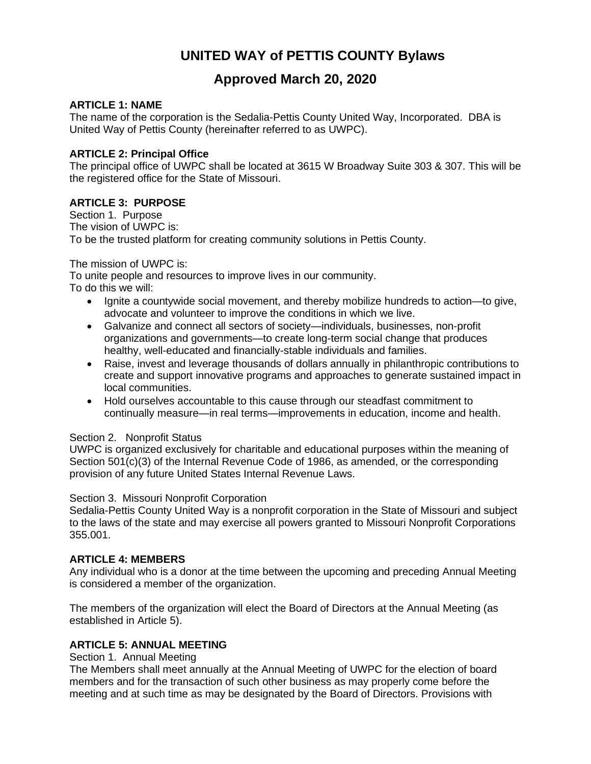# **UNITED WAY of PETTIS COUNTY Bylaws**

# **Approved March 20, 2020**

# **ARTICLE 1: NAME**

The name of the corporation is the Sedalia-Pettis County United Way, Incorporated. DBA is United Way of Pettis County (hereinafter referred to as UWPC).

# **ARTICLE 2: Principal Office**

The principal office of UWPC shall be located at 3615 W Broadway Suite 303 & 307. This will be the registered office for the State of Missouri.

# **ARTICLE 3: PURPOSE**

Section 1. Purpose The vision of UWPC is: To be the trusted platform for creating community solutions in Pettis County.

# The mission of UWPC is:

To unite people and resources to improve lives in our community. To do this we will:

- Ignite a countywide social movement, and thereby mobilize hundreds to action—to give, advocate and volunteer to improve the conditions in which we live.
- Galvanize and connect all sectors of society—individuals, businesses, non-profit organizations and governments—to create long-term social change that produces healthy, well-educated and financially-stable individuals and families.
- Raise, invest and leverage thousands of dollars annually in philanthropic contributions to create and support innovative programs and approaches to generate sustained impact in local communities.
- Hold ourselves accountable to this cause through our steadfast commitment to continually measure—in real terms—improvements in education, income and health.

# Section 2. Nonprofit Status

UWPC is organized exclusively for charitable and educational purposes within the meaning of Section 501(c)(3) of the Internal Revenue Code of 1986, as amended, or the corresponding provision of any future United States Internal Revenue Laws.

# Section 3. Missouri Nonprofit Corporation

Sedalia-Pettis County United Way is a nonprofit corporation in the State of Missouri and subject to the laws of the state and may exercise all powers granted to Missouri Nonprofit Corporations 355.001.

# **ARTICLE 4: MEMBERS**

Any individual who is a donor at the time between the upcoming and preceding Annual Meeting is considered a member of the organization.

The members of the organization will elect the Board of Directors at the Annual Meeting (as established in Article 5).

# **ARTICLE 5: ANNUAL MEETING**

## Section 1. Annual Meeting

The Members shall meet annually at the Annual Meeting of UWPC for the election of board members and for the transaction of such other business as may properly come before the meeting and at such time as may be designated by the Board of Directors. Provisions with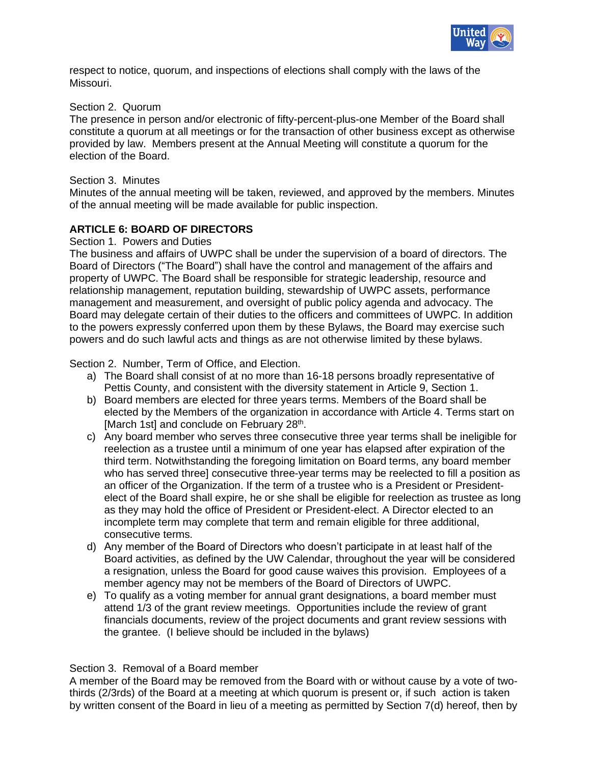

respect to notice, quorum, and inspections of elections shall comply with the laws of the Missouri.

## Section 2. Quorum

The presence in person and/or electronic of fifty-percent-plus-one Member of the Board shall constitute a quorum at all meetings or for the transaction of other business except as otherwise provided by law. Members present at the Annual Meeting will constitute a quorum for the election of the Board.

## Section 3. Minutes

Minutes of the annual meeting will be taken, reviewed, and approved by the members. Minutes of the annual meeting will be made available for public inspection.

# **ARTICLE 6: BOARD OF DIRECTORS**

## Section 1. Powers and Duties

The business and affairs of UWPC shall be under the supervision of a board of directors. The Board of Directors ("The Board") shall have the control and management of the affairs and property of UWPC. The Board shall be responsible for strategic leadership, resource and relationship management, reputation building, stewardship of UWPC assets, performance management and measurement, and oversight of public policy agenda and advocacy. The Board may delegate certain of their duties to the officers and committees of UWPC. In addition to the powers expressly conferred upon them by these Bylaws, the Board may exercise such powers and do such lawful acts and things as are not otherwise limited by these bylaws.

Section 2. Number, Term of Office, and Election.

- a) The Board shall consist of at no more than 16-18 persons broadly representative of Pettis County, and consistent with the diversity statement in Article 9, Section 1.
- b) Board members are elected for three years terms. Members of the Board shall be elected by the Members of the organization in accordance with Article 4. Terms start on [March 1st] and conclude on February 28<sup>th</sup>.
- c) Any board member who serves three consecutive three year terms shall be ineligible for reelection as a trustee until a minimum of one year has elapsed after expiration of the third term. Notwithstanding the foregoing limitation on Board terms, any board member who has served three] consecutive three-year terms may be reelected to fill a position as an officer of the Organization. If the term of a trustee who is a President or Presidentelect of the Board shall expire, he or she shall be eligible for reelection as trustee as long as they may hold the office of President or President-elect. A Director elected to an incomplete term may complete that term and remain eligible for three additional, consecutive terms.
- d) Any member of the Board of Directors who doesn't participate in at least half of the Board activities, as defined by the UW Calendar, throughout the year will be considered a resignation, unless the Board for good cause waives this provision. Employees of a member agency may not be members of the Board of Directors of UWPC.
- e) To qualify as a voting member for annual grant designations, a board member must attend 1/3 of the grant review meetings. Opportunities include the review of grant financials documents, review of the project documents and grant review sessions with the grantee. (I believe should be included in the bylaws)

## Section 3. Removal of a Board member

A member of the Board may be removed from the Board with or without cause by a vote of twothirds (2/3rds) of the Board at a meeting at which quorum is present or, if such action is taken by written consent of the Board in lieu of a meeting as permitted by Section 7(d) hereof, then by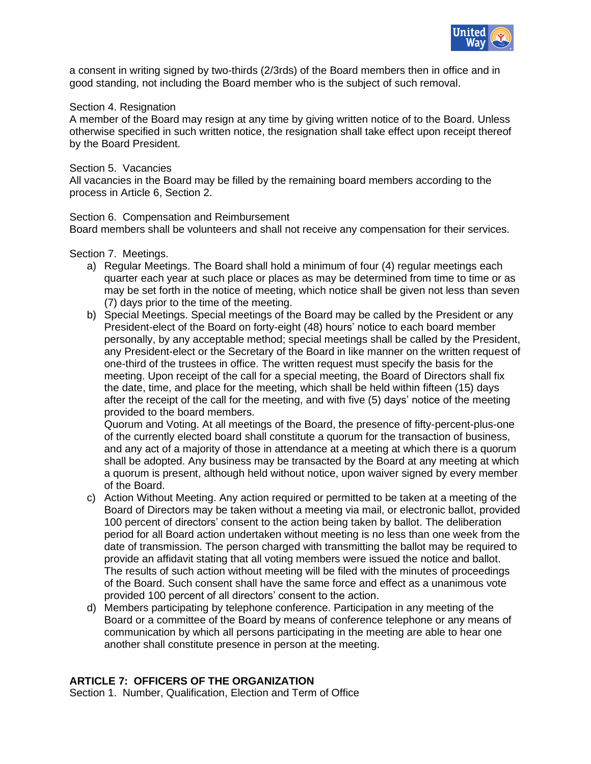

a consent in writing signed by two-thirds (2/3rds) of the Board members then in office and in good standing, not including the Board member who is the subject of such removal.

## Section 4. Resignation

A member of the Board may resign at any time by giving written notice of to the Board. Unless otherwise specified in such written notice, the resignation shall take effect upon receipt thereof by the Board President.

## Section 5. Vacancies

All vacancies in the Board may be filled by the remaining board members according to the process in Article 6, Section 2.

## Section 6. Compensation and Reimbursement

Board members shall be volunteers and shall not receive any compensation for their services.

## Section 7. Meetings.

- a) Regular Meetings. The Board shall hold a minimum of four (4) regular meetings each quarter each year at such place or places as may be determined from time to time or as may be set forth in the notice of meeting, which notice shall be given not less than seven (7) days prior to the time of the meeting.
- b) Special Meetings. Special meetings of the Board may be called by the President or any President-elect of the Board on forty-eight (48) hours' notice to each board member personally, by any acceptable method; special meetings shall be called by the President, any President-elect or the Secretary of the Board in like manner on the written request of one-third of the trustees in office. The written request must specify the basis for the meeting. Upon receipt of the call for a special meeting, the Board of Directors shall fix the date, time, and place for the meeting, which shall be held within fifteen (15) days after the receipt of the call for the meeting, and with five (5) days' notice of the meeting provided to the board members.

Quorum and Voting. At all meetings of the Board, the presence of fifty-percent-plus-one of the currently elected board shall constitute a quorum for the transaction of business, and any act of a majority of those in attendance at a meeting at which there is a quorum shall be adopted. Any business may be transacted by the Board at any meeting at which a quorum is present, although held without notice, upon waiver signed by every member of the Board.

- c) Action Without Meeting. Any action required or permitted to be taken at a meeting of the Board of Directors may be taken without a meeting via mail, or electronic ballot, provided 100 percent of directors' consent to the action being taken by ballot. The deliberation period for all Board action undertaken without meeting is no less than one week from the date of transmission. The person charged with transmitting the ballot may be required to provide an affidavit stating that all voting members were issued the notice and ballot. The results of such action without meeting will be filed with the minutes of proceedings of the Board. Such consent shall have the same force and effect as a unanimous vote provided 100 percent of all directors' consent to the action.
- d) Members participating by telephone conference. Participation in any meeting of the Board or a committee of the Board by means of conference telephone or any means of communication by which all persons participating in the meeting are able to hear one another shall constitute presence in person at the meeting.

# **ARTICLE 7: OFFICERS OF THE ORGANIZATION**

Section 1. Number, Qualification, Election and Term of Office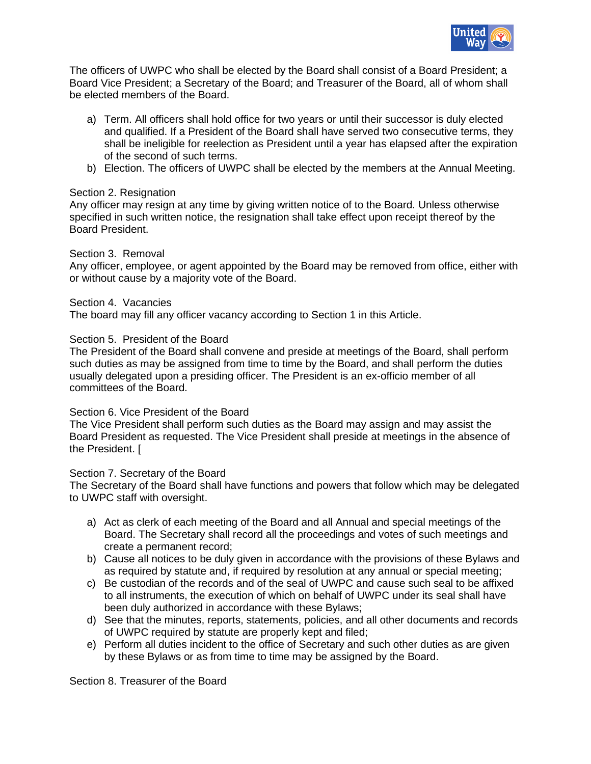

The officers of UWPC who shall be elected by the Board shall consist of a Board President; a Board Vice President; a Secretary of the Board; and Treasurer of the Board, all of whom shall be elected members of the Board.

- a) Term. All officers shall hold office for two years or until their successor is duly elected and qualified. If a President of the Board shall have served two consecutive terms, they shall be ineligible for reelection as President until a year has elapsed after the expiration of the second of such terms.
- b) Election. The officers of UWPC shall be elected by the members at the Annual Meeting.

## Section 2. Resignation

Any officer may resign at any time by giving written notice of to the Board. Unless otherwise specified in such written notice, the resignation shall take effect upon receipt thereof by the Board President.

## Section 3. Removal

Any officer, employee, or agent appointed by the Board may be removed from office, either with or without cause by a majority vote of the Board.

## Section 4. Vacancies

The board may fill any officer vacancy according to Section 1 in this Article.

## Section 5. President of the Board

The President of the Board shall convene and preside at meetings of the Board, shall perform such duties as may be assigned from time to time by the Board, and shall perform the duties usually delegated upon a presiding officer. The President is an ex-officio member of all committees of the Board.

# Section 6. Vice President of the Board

The Vice President shall perform such duties as the Board may assign and may assist the Board President as requested. The Vice President shall preside at meetings in the absence of the President. [

## Section 7. Secretary of the Board

The Secretary of the Board shall have functions and powers that follow which may be delegated to UWPC staff with oversight.

- a) Act as clerk of each meeting of the Board and all Annual and special meetings of the Board. The Secretary shall record all the proceedings and votes of such meetings and create a permanent record;
- b) Cause all notices to be duly given in accordance with the provisions of these Bylaws and as required by statute and, if required by resolution at any annual or special meeting;
- c) Be custodian of the records and of the seal of UWPC and cause such seal to be affixed to all instruments, the execution of which on behalf of UWPC under its seal shall have been duly authorized in accordance with these Bylaws;
- d) See that the minutes, reports, statements, policies, and all other documents and records of UWPC required by statute are properly kept and filed;
- e) Perform all duties incident to the office of Secretary and such other duties as are given by these Bylaws or as from time to time may be assigned by the Board.

Section 8. Treasurer of the Board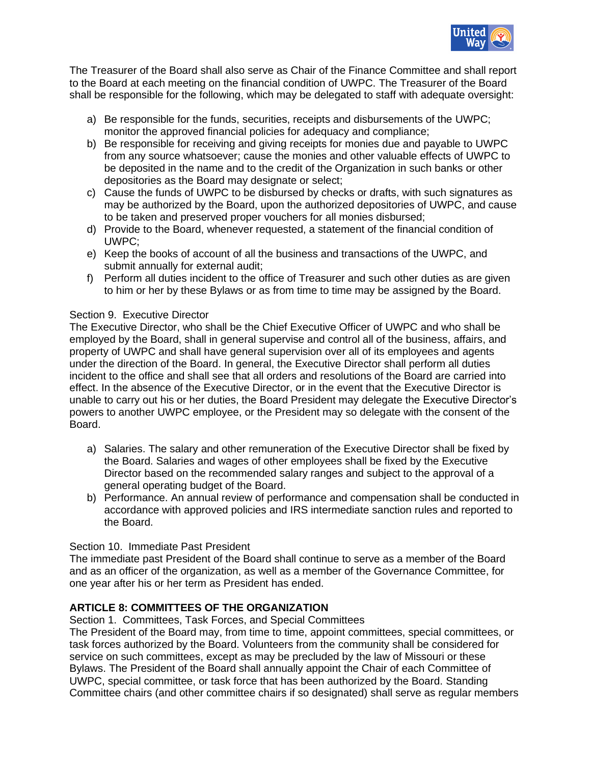

The Treasurer of the Board shall also serve as Chair of the Finance Committee and shall report to the Board at each meeting on the financial condition of UWPC. The Treasurer of the Board shall be responsible for the following, which may be delegated to staff with adequate oversight:

- a) Be responsible for the funds, securities, receipts and disbursements of the UWPC; monitor the approved financial policies for adequacy and compliance;
- b) Be responsible for receiving and giving receipts for monies due and payable to UWPC from any source whatsoever; cause the monies and other valuable effects of UWPC to be deposited in the name and to the credit of the Organization in such banks or other depositories as the Board may designate or select;
- c) Cause the funds of UWPC to be disbursed by checks or drafts, with such signatures as may be authorized by the Board, upon the authorized depositories of UWPC, and cause to be taken and preserved proper vouchers for all monies disbursed;
- d) Provide to the Board, whenever requested, a statement of the financial condition of UWPC;
- e) Keep the books of account of all the business and transactions of the UWPC, and submit annually for external audit;
- f) Perform all duties incident to the office of Treasurer and such other duties as are given to him or her by these Bylaws or as from time to time may be assigned by the Board.

# Section 9. Executive Director

The Executive Director, who shall be the Chief Executive Officer of UWPC and who shall be employed by the Board, shall in general supervise and control all of the business, affairs, and property of UWPC and shall have general supervision over all of its employees and agents under the direction of the Board. In general, the Executive Director shall perform all duties incident to the office and shall see that all orders and resolutions of the Board are carried into effect. In the absence of the Executive Director, or in the event that the Executive Director is unable to carry out his or her duties, the Board President may delegate the Executive Director's powers to another UWPC employee, or the President may so delegate with the consent of the Board.

- a) Salaries. The salary and other remuneration of the Executive Director shall be fixed by the Board. Salaries and wages of other employees shall be fixed by the Executive Director based on the recommended salary ranges and subject to the approval of a general operating budget of the Board.
- b) Performance. An annual review of performance and compensation shall be conducted in accordance with approved policies and IRS intermediate sanction rules and reported to the Board.

## Section 10. Immediate Past President

The immediate past President of the Board shall continue to serve as a member of the Board and as an officer of the organization, as well as a member of the Governance Committee, for one year after his or her term as President has ended.

# **ARTICLE 8: COMMITTEES OF THE ORGANIZATION**

Section 1. Committees, Task Forces, and Special Committees

The President of the Board may, from time to time, appoint committees, special committees, or task forces authorized by the Board. Volunteers from the community shall be considered for service on such committees, except as may be precluded by the law of Missouri or these Bylaws. The President of the Board shall annually appoint the Chair of each Committee of UWPC, special committee, or task force that has been authorized by the Board. Standing Committee chairs (and other committee chairs if so designated) shall serve as regular members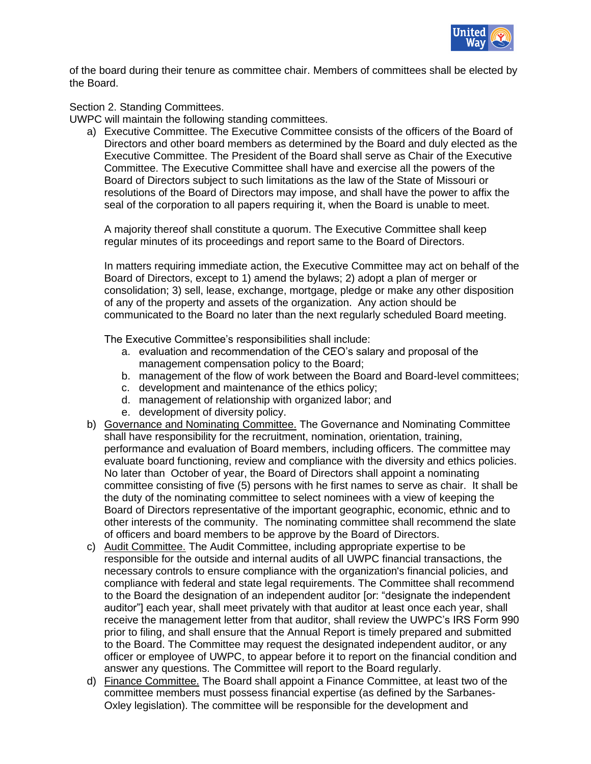

of the board during their tenure as committee chair. Members of committees shall be elected by the Board.

## Section 2. Standing Committees.

UWPC will maintain the following standing committees.

a) Executive Committee. The Executive Committee consists of the officers of the Board of Directors and other board members as determined by the Board and duly elected as the Executive Committee. The President of the Board shall serve as Chair of the Executive Committee. The Executive Committee shall have and exercise all the powers of the Board of Directors subject to such limitations as the law of the State of Missouri or resolutions of the Board of Directors may impose, and shall have the power to affix the seal of the corporation to all papers requiring it, when the Board is unable to meet.

A majority thereof shall constitute a quorum. The Executive Committee shall keep regular minutes of its proceedings and report same to the Board of Directors.

In matters requiring immediate action, the Executive Committee may act on behalf of the Board of Directors, except to 1) amend the bylaws; 2) adopt a plan of merger or consolidation; 3) sell, lease, exchange, mortgage, pledge or make any other disposition of any of the property and assets of the organization. Any action should be communicated to the Board no later than the next regularly scheduled Board meeting.

The Executive Committee's responsibilities shall include:

- a. evaluation and recommendation of the CEO's salary and proposal of the management compensation policy to the Board;
- b. management of the flow of work between the Board and Board-level committees;
- c. development and maintenance of the ethics policy;
- d. management of relationship with organized labor; and
- e. development of diversity policy.
- b) Governance and Nominating Committee. The Governance and Nominating Committee shall have responsibility for the recruitment, nomination, orientation, training, performance and evaluation of Board members, including officers. The committee may evaluate board functioning, review and compliance with the diversity and ethics policies. No later than October of year, the Board of Directors shall appoint a nominating committee consisting of five (5) persons with he first names to serve as chair. It shall be the duty of the nominating committee to select nominees with a view of keeping the Board of Directors representative of the important geographic, economic, ethnic and to other interests of the community. The nominating committee shall recommend the slate of officers and board members to be approve by the Board of Directors.
- c) Audit Committee. The Audit Committee, including appropriate expertise to be responsible for the outside and internal audits of all UWPC financial transactions, the necessary controls to ensure compliance with the organization's financial policies, and compliance with federal and state legal requirements. The Committee shall recommend to the Board the designation of an independent auditor [or: "designate the independent auditor"] each year, shall meet privately with that auditor at least once each year, shall receive the management letter from that auditor, shall review the UWPC's IRS Form 990 prior to filing, and shall ensure that the Annual Report is timely prepared and submitted to the Board. The Committee may request the designated independent auditor, or any officer or employee of UWPC, to appear before it to report on the financial condition and answer any questions. The Committee will report to the Board regularly.
- d) Finance Committee. The Board shall appoint a Finance Committee, at least two of the committee members must possess financial expertise (as defined by the Sarbanes-Oxley legislation). The committee will be responsible for the development and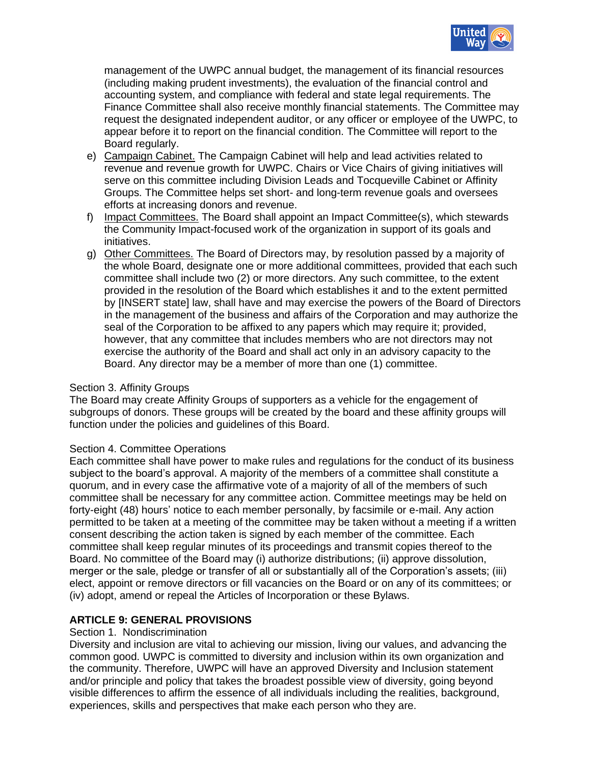

management of the UWPC annual budget, the management of its financial resources (including making prudent investments), the evaluation of the financial control and accounting system, and compliance with federal and state legal requirements. The Finance Committee shall also receive monthly financial statements. The Committee may request the designated independent auditor, or any officer or employee of the UWPC, to appear before it to report on the financial condition. The Committee will report to the Board regularly.

- e) Campaign Cabinet. The Campaign Cabinet will help and lead activities related to revenue and revenue growth for UWPC. Chairs or Vice Chairs of giving initiatives will serve on this committee including Division Leads and Tocqueville Cabinet or Affinity Groups. The Committee helps set short- and long-term revenue goals and oversees efforts at increasing donors and revenue.
- f) Impact Committees. The Board shall appoint an Impact Committee(s), which stewards the Community Impact-focused work of the organization in support of its goals and initiatives.
- g) Other Committees. The Board of Directors may, by resolution passed by a majority of the whole Board, designate one or more additional committees, provided that each such committee shall include two (2) or more directors. Any such committee, to the extent provided in the resolution of the Board which establishes it and to the extent permitted by [INSERT state] law, shall have and may exercise the powers of the Board of Directors in the management of the business and affairs of the Corporation and may authorize the seal of the Corporation to be affixed to any papers which may require it; provided, however, that any committee that includes members who are not directors may not exercise the authority of the Board and shall act only in an advisory capacity to the Board. Any director may be a member of more than one (1) committee.

## Section 3. Affinity Groups

The Board may create Affinity Groups of supporters as a vehicle for the engagement of subgroups of donors. These groups will be created by the board and these affinity groups will function under the policies and guidelines of this Board.

## Section 4. Committee Operations

Each committee shall have power to make rules and regulations for the conduct of its business subject to the board's approval. A majority of the members of a committee shall constitute a quorum, and in every case the affirmative vote of a majority of all of the members of such committee shall be necessary for any committee action. Committee meetings may be held on forty-eight (48) hours' notice to each member personally, by facsimile or e-mail. Any action permitted to be taken at a meeting of the committee may be taken without a meeting if a written consent describing the action taken is signed by each member of the committee. Each committee shall keep regular minutes of its proceedings and transmit copies thereof to the Board. No committee of the Board may (i) authorize distributions; (ii) approve dissolution, merger or the sale, pledge or transfer of all or substantially all of the Corporation's assets; (iii) elect, appoint or remove directors or fill vacancies on the Board or on any of its committees; or (iv) adopt, amend or repeal the Articles of Incorporation or these Bylaws.

# **ARTICLE 9: GENERAL PROVISIONS**

## Section 1. Nondiscrimination

Diversity and inclusion are vital to achieving our mission, living our values, and advancing the common good. UWPC is committed to diversity and inclusion within its own organization and the community. Therefore, UWPC will have an approved Diversity and Inclusion statement and/or principle and policy that takes the broadest possible view of diversity, going beyond visible differences to affirm the essence of all individuals including the realities, background, experiences, skills and perspectives that make each person who they are.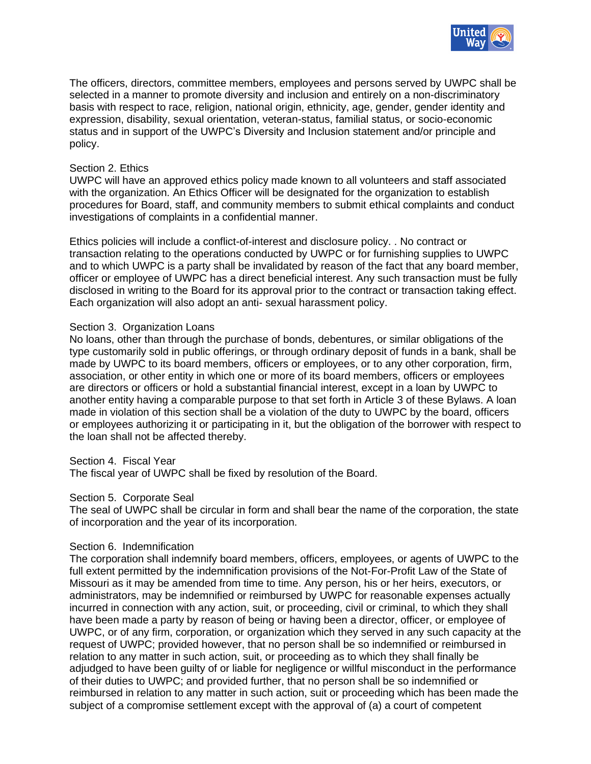

The officers, directors, committee members, employees and persons served by UWPC shall be selected in a manner to promote diversity and inclusion and entirely on a non-discriminatory basis with respect to race, religion, national origin, ethnicity, age, gender, gender identity and expression, disability, sexual orientation, veteran-status, familial status, or socio-economic status and in support of the UWPC's Diversity and Inclusion statement and/or principle and policy.

## Section 2. Ethics

UWPC will have an approved ethics policy made known to all volunteers and staff associated with the organization. An Ethics Officer will be designated for the organization to establish procedures for Board, staff, and community members to submit ethical complaints and conduct investigations of complaints in a confidential manner.

Ethics policies will include a conflict-of-interest and disclosure policy. . No contract or transaction relating to the operations conducted by UWPC or for furnishing supplies to UWPC and to which UWPC is a party shall be invalidated by reason of the fact that any board member, officer or employee of UWPC has a direct beneficial interest. Any such transaction must be fully disclosed in writing to the Board for its approval prior to the contract or transaction taking effect. Each organization will also adopt an anti- sexual harassment policy.

## Section 3. Organization Loans

No loans, other than through the purchase of bonds, debentures, or similar obligations of the type customarily sold in public offerings, or through ordinary deposit of funds in a bank, shall be made by UWPC to its board members, officers or employees, or to any other corporation, firm, association, or other entity in which one or more of its board members, officers or employees are directors or officers or hold a substantial financial interest, except in a loan by UWPC to another entity having a comparable purpose to that set forth in Article 3 of these Bylaws. A loan made in violation of this section shall be a violation of the duty to UWPC by the board, officers or employees authorizing it or participating in it, but the obligation of the borrower with respect to the loan shall not be affected thereby.

## Section 4. Fiscal Year

The fiscal year of UWPC shall be fixed by resolution of the Board.

## Section 5. Corporate Seal

The seal of UWPC shall be circular in form and shall bear the name of the corporation, the state of incorporation and the year of its incorporation.

## Section 6. Indemnification

The corporation shall indemnify board members, officers, employees, or agents of UWPC to the full extent permitted by the indemnification provisions of the Not-For-Profit Law of the State of Missouri as it may be amended from time to time. Any person, his or her heirs, executors, or administrators, may be indemnified or reimbursed by UWPC for reasonable expenses actually incurred in connection with any action, suit, or proceeding, civil or criminal, to which they shall have been made a party by reason of being or having been a director, officer, or employee of UWPC, or of any firm, corporation, or organization which they served in any such capacity at the request of UWPC; provided however, that no person shall be so indemnified or reimbursed in relation to any matter in such action, suit, or proceeding as to which they shall finally be adjudged to have been guilty of or liable for negligence or willful misconduct in the performance of their duties to UWPC; and provided further, that no person shall be so indemnified or reimbursed in relation to any matter in such action, suit or proceeding which has been made the subject of a compromise settlement except with the approval of (a) a court of competent